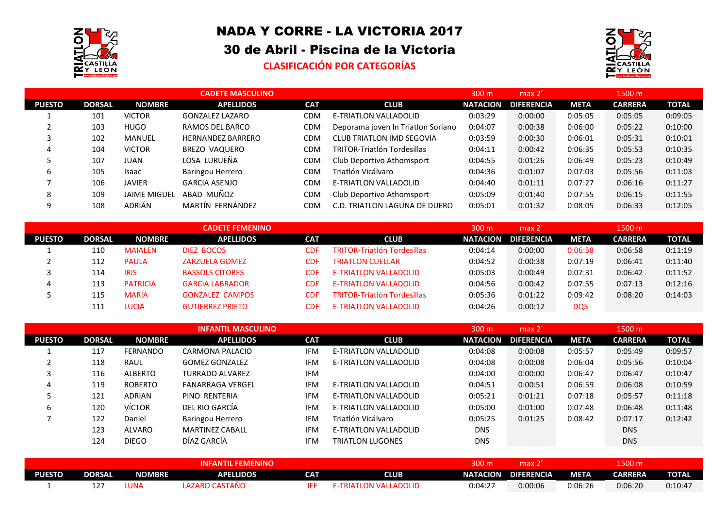

## NADA Y CORRE - LA VICTORIA 2017

## 30 de Abril - Piscina de la Victoria

## **CLASIFICACIÓN POR CATEGORÍAS**



|               |               |                     | <b>CADETE MASCULINO</b>  |            |                                    | 300 m           | max <sub>2</sub>  |             | 1500 m         |              |
|---------------|---------------|---------------------|--------------------------|------------|------------------------------------|-----------------|-------------------|-------------|----------------|--------------|
| <b>PUESTO</b> | <b>DORSAL</b> | <b>NOMBRE</b>       | <b>APELLIDOS</b>         | <b>CAT</b> | <b>CLUB</b>                        | <b>NATACION</b> | <b>DIFERENCIA</b> | <b>META</b> | <b>CARRERA</b> | <b>TOTAL</b> |
|               | 101           | <b>VICTOR</b>       | GONZALEZ LAZARO          | CDM        | E-TRIATLON VALLADOLID              | 0:03:29         | 0:00:00           | 0:05:05     | 0:05:05        | 0:09:05      |
|               | 103           | <b>HUGO</b>         | RAMOS DEL BARCO          | <b>CDM</b> | Deporama joven In Triatlon Soriano | 0:04:07         | 0:00:38           | 0:06:00     | 0:05:22        | 0:10:00      |
|               | 102           | MANUEL              | <b>HERNANDEZ BARRERO</b> | <b>CDM</b> | <b>CLUB TRIATLON IMD SEGOVIA</b>   | 0:03:59         | 0:00:30           | 0:06:01     | 0:05:31        | 0:10:01      |
| 4             | 104           | <b>VICTOR</b>       | BREZO VAQUERO            | CDM        | <b>TRITOR-Triatlón Tordesillas</b> | 0:04:11         | 0:00:42           | 0:06:35     | 0:05:53        | 0:10:35      |
|               | 107           | JUAN                | LOSA LURUEÑA             | <b>CDM</b> | Club Deportivo Athomsport          | 0:04:55         | 0:01:26           | 0:06:49     | 0:05:23        | 0:10:49      |
| 6             | 105           | Isaac               | Baringou Herrero         | <b>CDM</b> | Triatlón Vicálvaro                 | 0:04:36         | 0:01:07           | 0:07:03     | 0:05:56        | 0:11:03      |
|               | 106           | <b>JAVIER</b>       | <b>GARCIA ASENJO</b>     | CDM        | E-TRIATLON VALLADOLID              | 0:04:40         | 0:01:11           | 0:07:27     | 0:06:16        | 0:11:27      |
| 8             | 109           | <b>JAIME MIGUEL</b> | ABAD MUÑOZ               | <b>CDM</b> | Club Deportivo Athomsport          | 0:05:09         | 0:01:40           | 0:07:55     | 0:06:15        | 0:11:55      |
| 9             | 108           | ADRIÁN              | MARTÍN FERNÁNDEZ         | <b>CDM</b> | C.D. TRIATLON LAGUNA DE DUERO      | 0:05:01         | 0:01:32           | 0:08:05     | 0:06:33        | 0:12:05      |

|               |               |                 | <b>CADETE FEMENINO</b>  |            |                                    | 300 m           | max 2'            |             | 1500 m         |              |
|---------------|---------------|-----------------|-------------------------|------------|------------------------------------|-----------------|-------------------|-------------|----------------|--------------|
| <b>PUESTO</b> | <b>DORSAL</b> | <b>NOMBRE</b>   | <b>APELLIDOS</b>        | <b>CAT</b> | <b>CLUB</b>                        | <b>NATACION</b> | <b>DIFERENCIA</b> | <b>META</b> | <b>CARRERA</b> | <b>TOTAL</b> |
| <b>.</b>      | 110           | <b>MAIALEN</b>  | DIEZ BOCOS              | CDF        | <b>TRITOR-Triatlón Tordesillas</b> | 0:04:14         | 0:00:00           | 0:06:58     | 0:06:58        | 0:11:19      |
|               | 112           | <b>PAULA</b>    | <b>ZARZUELA GOMEZ</b>   | <b>CDF</b> | <b>TRIATLON CUELLAR</b>            | 0:04:52         | 0:00:38           | 0:07:19     | 0:06:41        | 0:11:40      |
|               | 114           | <b>IRIS</b>     | <b>BASSOLS CITORES</b>  | CDF        | <b>E-TRIATLON VALLADOLID</b>       | 0:05:03         | 0:00:49           | 0:07:31     | 0:06:42        | 0:11:52      |
| 4             | 113           | <b>PATRICIA</b> | <b>GARCIA LABRADOR</b>  | CDE        | <b>E-TRIATLON VALLADOLID</b>       | 0:04:56         | 0:00:42           | 0:07:55     | 0:07:13        | 0:12:16      |
|               | 115           | <b>MARIA</b>    | <b>GONZALEZ CAMPOS</b>  | CDE        | <b>TRITOR-Triatlón Tordesillas</b> | 0:05:36         | 0:01:22           | 0:09:42     | 0:08:20        | 0:14:03      |
|               |               | LUCIA           | <b>GUTIERREZ PRIETO</b> | CDE.       | <b>E-TRIATLON VALLADOLID</b>       | 0:04:26         | 0:00:12           | <b>DQS</b>  |                |              |

|               |               |                 | <b>INFANTIL MASCULINO</b> |            |                              | 300 m           | $max 2^2$         |             | 1500 m         |              |
|---------------|---------------|-----------------|---------------------------|------------|------------------------------|-----------------|-------------------|-------------|----------------|--------------|
| <b>PUESTO</b> | <b>DORSAL</b> | <b>NOMBRE</b>   | <b>APELLIDOS</b>          | <b>CAT</b> | <b>CLUB</b>                  | <b>NATACION</b> | <b>DIFERENCIA</b> | <b>META</b> | <b>CARRERA</b> | <b>TOTAL</b> |
|               | 117           | <b>FERNANDO</b> | CARMONA PALACIO           | <b>IFM</b> | <b>E-TRIATLON VALLADOLID</b> | 0:04:08         | 0:00:08           | 0:05:57     | 0:05:49        | 0:09:57      |
|               | 118           | RAUL            | <b>GOMEZ GONZALEZ</b>     | <b>IFM</b> | E-TRIATLON VALLADOLID        | 0:04:08         | 0:00:08           | 0:06:04     | 0:05:56        | 0:10:04      |
|               | 116           | <b>ALBERTO</b>  | <b>TURRADO ALVAREZ</b>    | <b>IFM</b> |                              | 0:04:00         | 0:00:00           | 0:06:47     | 0:06:47        | 0:10:47      |
| 4             | 119           | <b>ROBERTO</b>  | <b>FANARRAGA VERGEL</b>   | <b>IFM</b> | <b>E-TRIATLON VALLADOLID</b> | 0:04:51         | 0:00:51           | 0:06:59     | 0:06:08        | 0:10:59      |
|               | 121           | <b>ADRIAN</b>   | PINO RENTERIA             | <b>IFM</b> | <b>E-TRIATLON VALLADOLID</b> | 0:05:21         | 0:01:21           | 0:07:18     | 0:05:57        | 0:11:18      |
| b             | 120           | <b>VÍCTOR</b>   | DEL RIO GARCÍA            | <b>IFM</b> | <b>E-TRIATLON VALLADOLID</b> | 0:05:00         | 0:01:00           | 0:07:48     | 0:06:48        | 0:11:48      |
|               | 122           | Daniel          | Baringou Herrero          | <b>IFM</b> | Triatlón Vicálvaro           | 0:05:25         | 0:01:25           | 0:08:42     | 0:07:17        | 0:12:42      |
|               | 123           | ALVARO          | <b>MARTINEZ CABALL</b>    | <b>IFM</b> | <b>E-TRIATLON VALLADOLID</b> | <b>DNS</b>      |                   |             | <b>DNS</b>     |              |
|               | 124           | <b>DIEGO</b>    | DÍAZ GARCÍA               | <b>IFM</b> | <b>TRIATLON LUGONES</b>      | <b>DNS</b>      |                   |             | <b>DNS</b>     |              |

|               |               |               | <b>FEMENINO</b><br><b>NFANTIL</b> |     |                 | $300 \text{ m}$ | max 2             |             | 1500 m                |              |
|---------------|---------------|---------------|-----------------------------------|-----|-----------------|-----------------|-------------------|-------------|-----------------------|--------------|
| <b>PUESTO</b> | <b>DORSAL</b> | <b>NOMBRE</b> | <b>APELLIDOS</b>                  | CAT | <b>CLUB</b>     | <b>NATACION</b> | <b>DIFERENCIA</b> | <b>META</b> | <b><i>CARRERA</i></b> | <b>TOTAL</b> |
|               | TT.           | UNA.          | LAZARO CASTAÑO                    |     | TLON VALLADOLID | 0:04:27         | 0:00:06           | 0:06:26     | 0:06:20               | $0:10:4^-$   |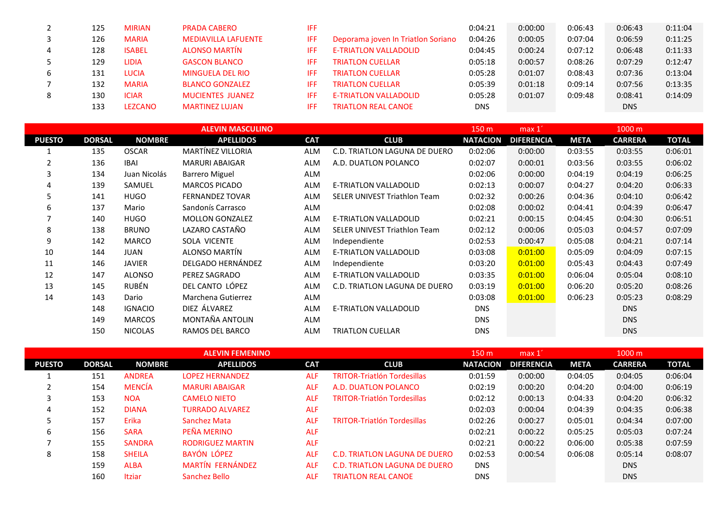|   | 125 | <b>MIRIAN</b>  | <b>PRADA CABERO</b>        | IFF  |                                    | 0:04:21    | 0:00:00 | 0:06:43 | 0:06:43    | 0:11:04 |
|---|-----|----------------|----------------------------|------|------------------------------------|------------|---------|---------|------------|---------|
|   | 126 | <b>MARIA</b>   | <b>MEDIAVILLA LAFUENTE</b> | IFF. | Deporama joven In Triatlon Soriano | 0:04:26    | 0:00:05 | 0:07:04 | 0:06:59    | 0:11:25 |
| 4 | 128 | <b>ISABEL</b>  | <b>ALONSO MARTÍN</b>       | IFF. | <b>E-TRIATLON VALLADOLID</b>       | 0:04:45    | 0:00:24 | 0:07:12 | 0:06:48    | 0:11:33 |
|   | 129 | <b>LIDIA</b>   | <b>GASCON BLANCO</b>       | IFF. | <b>TRIATLON CUELLAR</b>            | 0:05:18    | 0:00:57 | 0:08:26 | 0:07:29    | 0:12:47 |
|   | 131 | LUCIA          | <b>MINGUELA DEL RIO</b>    | IFF  | <b>TRIATLON CUELLAR</b>            | 0:05:28    | 0:01:07 | 0:08:43 | 0:07:36    | 0:13:04 |
|   | 132 | <b>MARIA</b>   | <b>BLANCO GONZALEZ</b>     | IFF  | <b>TRIATLON CUELLAR</b>            | 0:05:39    | 0:01:18 | 0:09:14 | 0:07:56    | 0:13:35 |
|   | 130 | <b>ICIAR</b>   | <b>MUCIENTES JUANEZ</b>    | IFF  | <b>E-TRIATLON VALLADOLID</b>       | 0:05:28    | 0:01:07 | 0:09:48 | 0:08:41    | 0:14:09 |
|   | 133 | <b>LEZCANO</b> | <b>MARTINEZ LUJAN</b>      | IFF  | <b>TRIATLON REAL CANOE</b>         | <b>DNS</b> |         |         | <b>DNS</b> |         |

|               |               |                | <b>ALEVIN MASCULINO</b> |            |                                     | 150 m           | max 1             |             | 1000 m         |              |
|---------------|---------------|----------------|-------------------------|------------|-------------------------------------|-----------------|-------------------|-------------|----------------|--------------|
| <b>PUESTO</b> | <b>DORSAL</b> | <b>NOMBRE</b>  | <b>APELLIDOS</b>        | <b>CAT</b> | <b>CLUB</b>                         | <b>NATACION</b> | <b>DIFERENCIA</b> | <b>META</b> | <b>CARRERA</b> | <b>TOTAL</b> |
|               | 135           | <b>OSCAR</b>   | MARTÍNEZ VILLORIA       | ALM        | C.D. TRIATLON LAGUNA DE DUERO       | 0:02:06         | 0:00:00           | 0:03:55     | 0:03:55        | 0:06:01      |
| 2             | 136           | <b>IBAI</b>    | <b>MARURI ABAIGAR</b>   | <b>ALM</b> | A.D. DUATLON POLANCO                | 0:02:07         | 0:00:01           | 0:03:56     | 0:03:55        | 0:06:02      |
| 3             | 134           | Juan Nicolás   | <b>Barrero Miguel</b>   | ALM        |                                     | 0:02:06         | 0:00:00           | 0:04:19     | 0:04:19        | 0:06:25      |
| 4             | 139           | SAMUEL         | <b>MARCOS PICADO</b>    | <b>ALM</b> | E-TRIATLON VALLADOLID               | 0:02:13         | 0:00:07           | 0:04:27     | 0:04:20        | 0:06:33      |
| 5             | 141           | <b>HUGO</b>    | <b>FERNANDEZ TOVAR</b>  | <b>ALM</b> | <b>SELER UNIVEST Triathlon Team</b> | 0:02:32         | 0:00:26           | 0:04:36     | 0:04:10        | 0:06:42      |
| 6             | 137           | Mario          | Sandonís Carrasco       | ALM        |                                     | 0:02:08         | 0:00:02           | 0:04:41     | 0:04:39        | 0:06:47      |
|               | 140           | <b>HUGO</b>    | <b>MOLLON GONZALEZ</b>  | ALM        | E-TRIATLON VALLADOLID               | 0:02:21         | 0:00:15           | 0:04:45     | 0:04:30        | 0:06:51      |
| 8             | 138           | <b>BRUNO</b>   | LAZARO CASTAÑO          | <b>ALM</b> | <b>SELER UNIVEST Triathlon Team</b> | 0:02:12         | 0:00:06           | 0:05:03     | 0:04:57        | 0:07:09      |
| 9             | 142           | <b>MARCO</b>   | SOLA VICENTE            | ALM        | Independiente                       | 0:02:53         | 0:00:47           | 0:05:08     | 0:04:21        | 0:07:14      |
| 10            | 144           | <b>JUAN</b>    | ALONSO MARTÍN           | <b>ALM</b> | E-TRIATLON VALLADOLID               | 0:03:08         | 0:01:00           | 0:05:09     | 0:04:09        | 0:07:15      |
| 11            | 146           | <b>JAVIER</b>  | DELGADO HERNÁNDEZ       | ALM        | Independiente                       | 0:03:20         | 0:01:00           | 0:05:43     | 0:04:43        | 0:07:49      |
| 12            | 147           | <b>ALONSO</b>  | PEREZ SAGRADO           | <b>ALM</b> | E-TRIATLON VALLADOLID               | 0:03:35         | 0:01:00           | 0:06:04     | 0:05:04        | 0:08:10      |
| 13            | 145           | RUBÉN          | DEL CANTO LÓPEZ         | <b>ALM</b> | C.D. TRIATLON LAGUNA DE DUERO       | 0:03:19         | 0:01:00           | 0:06:20     | 0:05:20        | 0:08:26      |
| 14            | 143           | Dario          | Marchena Gutierrez      | ALM        |                                     | 0:03:08         | 0:01:00           | 0:06:23     | 0:05:23        | 0:08:29      |
|               | 148           | <b>IGNACIO</b> | DIEZ ÁLVAREZ            | <b>ALM</b> | E-TRIATLON VALLADOLID               | <b>DNS</b>      |                   |             | <b>DNS</b>     |              |
|               | 149           | <b>MARCOS</b>  | MONTAÑA ANTOLIN         | ALM        |                                     | <b>DNS</b>      |                   |             | <b>DNS</b>     |              |
|               | 150           | <b>NICOLAS</b> | RAMOS DEL BARCO         | <b>ALM</b> | <b>TRIATLON CUELLAR</b>             | <b>DNS</b>      |                   |             | <b>DNS</b>     |              |

|               |               |               | <b>ALEVIN FEMENINO</b>  |            |                                      | 150 m           | max <sub>1</sub>  |             | $1000 \text{ m}$ |              |
|---------------|---------------|---------------|-------------------------|------------|--------------------------------------|-----------------|-------------------|-------------|------------------|--------------|
| <b>PUESTO</b> | <b>DORSAL</b> | <b>NOMBRE</b> | <b>APELLIDOS</b>        | <b>CAT</b> | <b>CLUB</b>                          | <b>NATACION</b> | <b>DIFERENCIA</b> | <b>META</b> | <b>CARRERA</b>   | <b>TOTAL</b> |
|               | 151           | <b>ANDREA</b> | <b>LOPEZ HERNANDEZ</b>  | <b>ALF</b> | <b>TRITOR-Triatlón Tordesillas</b>   | 0:01:59         | 0:00:00           | 0:04:05     | 0:04:05          | 0:06:04      |
| $\epsilon$    | 154           | <b>MENCÍA</b> | <b>MARURI ABAIGAR</b>   | <b>ALF</b> | A.D. DUATLON POLANCO                 | 0:02:19         | 0:00:20           | 0:04:20     | 0:04:00          | 0:06:19      |
| 3             | 153           | <b>NOA</b>    | <b>CAMELO NIETO</b>     | <b>ALF</b> | <b>TRITOR-Triatlón Tordesillas</b>   | 0:02:12         | 0:00:13           | 0:04:33     | 0:04:20          | 0:06:32      |
| 4             | 152           | <b>DIANA</b>  | <b>TURRADO ALVAREZ</b>  | <b>ALF</b> |                                      | 0:02:03         | 0:00:04           | 0:04:39     | 0:04:35          | 0:06:38      |
| 5             | 157           | Erika         | Sanchez Mata            | <b>ALF</b> | <b>TRITOR-Triatlón Tordesillas</b>   | 0:02:26         | 0:00:27           | 0:05:01     | 0:04:34          | 0:07:00      |
| 6             | 156           | <b>SARA</b>   | PEÑA MERINO             | <b>ALF</b> |                                      | 0:02:21         | 0:00:22           | 0:05:25     | 0:05:03          | 0:07:24      |
|               | 155           | <b>SANDRA</b> | <b>RODRIGUEZ MARTIN</b> | <b>ALF</b> |                                      | 0:02:21         | 0:00:22           | 0:06:00     | 0:05:38          | 0:07:59      |
| 8             | 158           | <b>SHEILA</b> | BAYÓN LÓPEZ             | <b>ALF</b> | C.D. TRIATLON LAGUNA DE DUERO        | 0:02:53         | 0:00:54           | 0:06:08     | 0:05:14          | 0:08:07      |
|               | 159           | <b>ALBA</b>   | MARTÍN FERNÁNDEZ        | <b>ALF</b> | <b>C.D. TRIATLON LAGUNA DE DUERO</b> | <b>DNS</b>      |                   |             | <b>DNS</b>       |              |
|               | 160           | <b>Itziar</b> | Sanchez Bello           | <b>ALF</b> | <b>TRIATLON REAL CANOE</b>           | <b>DNS</b>      |                   |             | <b>DNS</b>       |              |